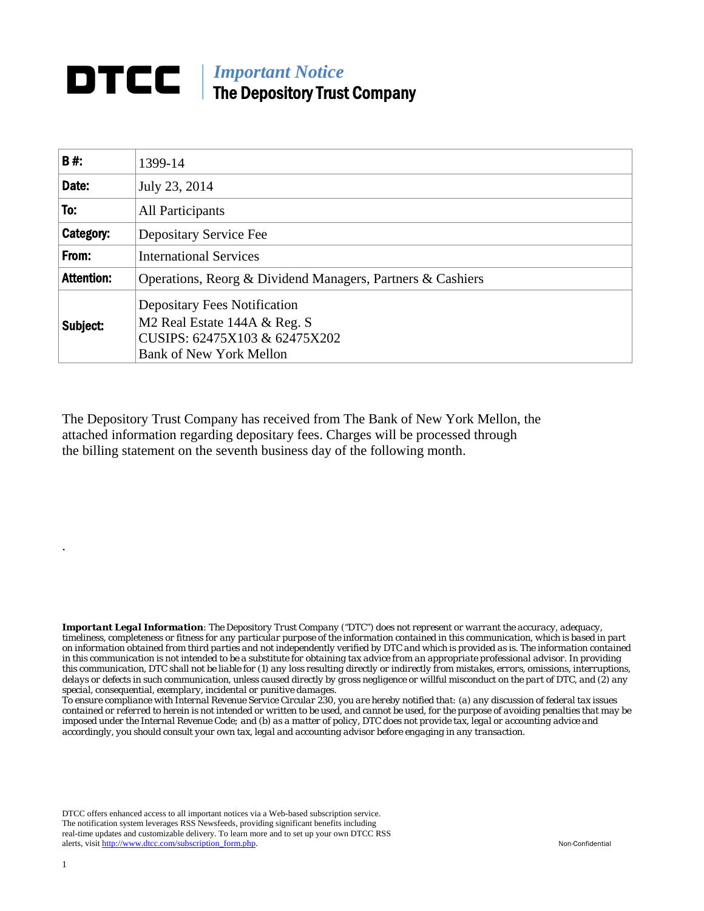## **DTCC** | *Important Notice* The Depository Trust Company

| B#:               | 1399-14                                                                                                                                            |  |
|-------------------|----------------------------------------------------------------------------------------------------------------------------------------------------|--|
| Date:             | July 23, 2014                                                                                                                                      |  |
| To:               | All Participants                                                                                                                                   |  |
| Category:         | Depositary Service Fee                                                                                                                             |  |
| From:             | <b>International Services</b>                                                                                                                      |  |
| <b>Attention:</b> | Operations, Reorg & Dividend Managers, Partners & Cashiers                                                                                         |  |
| Subject:          | <b>Depositary Fees Notification</b><br>M <sub>2</sub> Real Estate 144A & Reg. S<br>CUSIPS: 62475X103 & 62475X202<br><b>Bank of New York Mellon</b> |  |

The Depository Trust Company has received from The Bank of New York Mellon, the attached information regarding depositary fees. Charges will be processed through the billing statement on the seventh business day of the following month.

*Important Legal Information: The Depository Trust Company ("DTC") does not represent or warrant the accuracy, adequacy, timeliness, completeness or fitness for any particular purpose of the information contained in this communication, which is based in part on information obtained from third parties and not independently verified by DTC and which is provided as is. The information contained in this communication is not intended to be a substitute for obtaining tax advice from an appropriate professional advisor. In providing this communication, DTC shall not be liable for (1) any loss resulting directly or indirectly from mistakes, errors, omissions, interruptions, delays or defects in such communication, unless caused directly by gross negligence or willful misconduct on the part of DTC, and (2) any special, consequential, exemplary, incidental or punitive damages.* 

*To ensure compliance with Internal Revenue Service Circular 230, you are hereby notified that: (a) any discussion of federal tax issues contained or referred to herein is not intended or written to be used, and cannot be used, for the purpose of avoiding penalties that may be imposed under the Internal Revenue Code; and (b) as a matter of policy, DTC does not provide tax, legal or accounting advice and accordingly, you should consult your own tax, legal and accounting advisor before engaging in any transaction.*

DTCC offers enhanced access to all important notices via a Web-based subscription service. The notification system leverages RSS Newsfeeds, providing significant benefits including real-time updates and customizable delivery. To learn more and to set up your own DTCC RSS alerts, visit http://www.dtcc.com/subscription\_form.php. Non-Confidential

.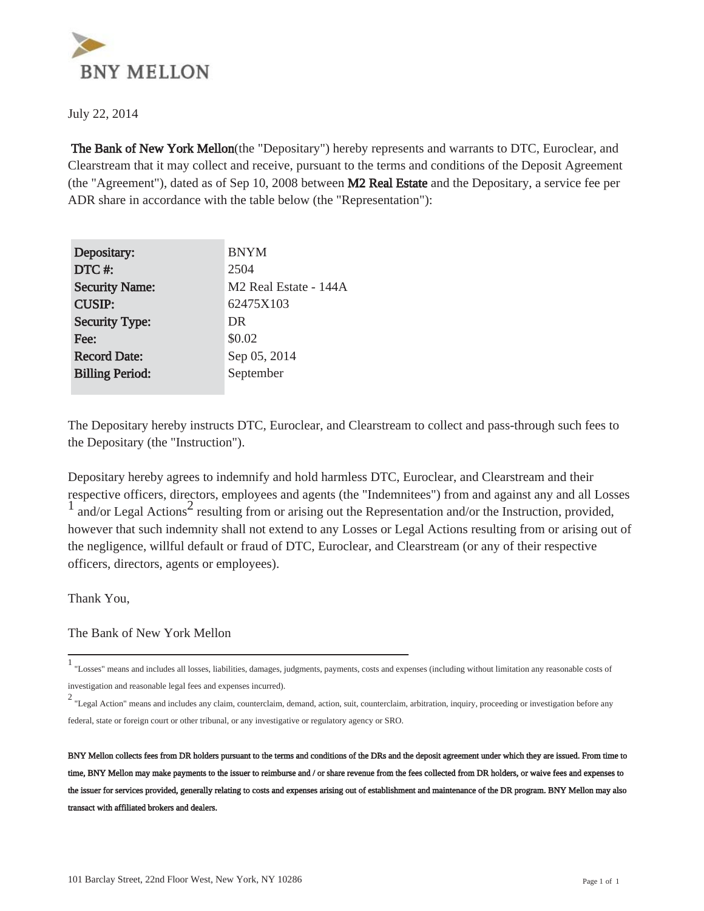

July 22, 2014

 The Bank of New York Mellon(the "Depositary") hereby represents and warrants to DTC, Euroclear, and Clearstream that it may collect and receive, pursuant to the terms and conditions of the Deposit Agreement (the "Agreement"), dated as of Sep 10, 2008 between M2 Real Estate and the Depositary, a service fee per ADR share in accordance with the table below (the "Representation"):

| Depositary:            | <b>BNYM</b>                       |
|------------------------|-----------------------------------|
| DTC#:                  | 2504                              |
| <b>Security Name:</b>  | M <sub>2</sub> Real Estate - 144A |
| <b>CUSIP:</b>          | 62475X103                         |
| <b>Security Type:</b>  | DR                                |
| Fee:                   | \$0.02                            |
| <b>Record Date:</b>    | Sep 05, 2014                      |
| <b>Billing Period:</b> | September                         |
|                        |                                   |

The Depositary hereby instructs DTC, Euroclear, and Clearstream to collect and pass-through such fees to the Depositary (the "Instruction").

Depositary hereby agrees to indemnify and hold harmless DTC, Euroclear, and Clearstream and their respective officers, directors, employees and agents (the "Indemnitees") from and against any and all Losses  $\frac{1}{1}$  and/or Legal Actions<sup>2</sup> resulting from or arising out the Representation and/or the Instruction, provided, however that such indemnity shall not extend to any Losses or Legal Actions resulting from or arising out of the negligence, willful default or fraud of DTC, Euroclear, and Clearstream (or any of their respective officers, directors, agents or employees).

Thank You,

The Bank of New York Mellon

<sup>1</sup> "Losses" means and includes all losses, liabilities, damages, judgments, payments, costs and expenses (including without limitation any reasonable costs of investigation and reasonable legal fees and expenses incurred).

<sup>2</sup> "Legal Action" means and includes any claim, counterclaim, demand, action, suit, counterclaim, arbitration, inquiry, proceeding or investigation before any federal, state or foreign court or other tribunal, or any investigative or regulatory agency or SRO.

BNY Mellon collects fees from DR holders pursuant to the terms and conditions of the DRs and the deposit agreement under which they are issued. From time to time, BNY Mellon may make payments to the issuer to reimburse and / or share revenue from the fees collected from DR holders, or waive fees and expenses to the issuer for services provided, generally relating to costs and expenses arising out of establishment and maintenance of the DR program. BNY Mellon may also transact with affiliated brokers and dealers.